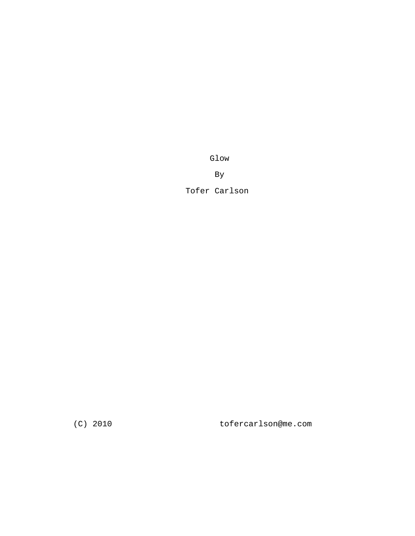Glow

By

Tofer Carlson

(C) 2010 tofercarlson@me.com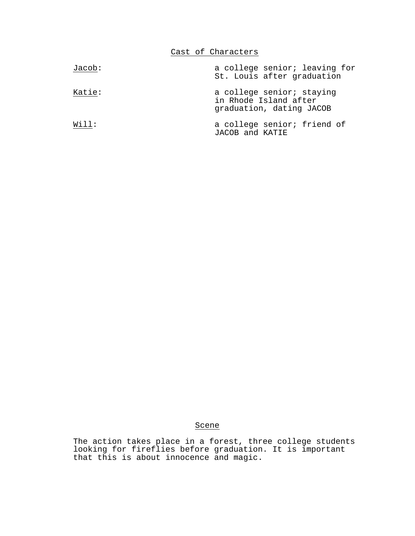Cast of Characters

| Jacob: | a college senior; leaving for<br>St. Louis after graduation                    |
|--------|--------------------------------------------------------------------------------|
| Katie: | a college senior; staying<br>in Rhode Island after<br>graduation, dating JACOB |
| Will:  | a college senior; friend of<br>JACOB and KATIE                                 |

## Scene

The action takes place in a forest, three college students looking for fireflies before graduation. It is important that this is about innocence and magic.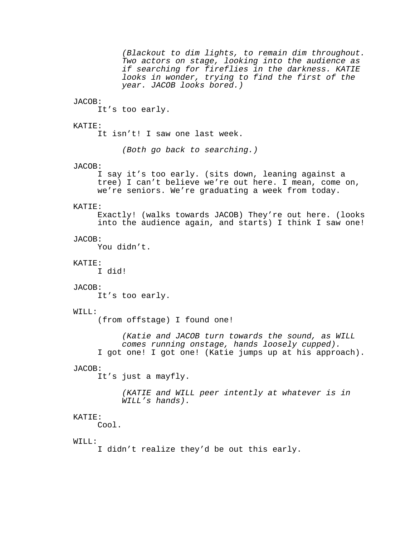(Blackout to dim lights, to remain dim throughout. Two actors on stage, looking into the audience as if searching for fireflies in the darkness. KATIE looks in wonder, trying to find the first of the year. JACOB looks bored.) JACOB: It's too early. KATIE: It isn't! I saw one last week. (Both go back to searching.) JACOB: I say it's too early. (sits down, leaning against a tree) I can't believe we're out here. I mean, come on, we're seniors. We're graduating a week from today. KATIE: Exactly! (walks towards JACOB) They're out here. (looks into the audience again, and starts) I think I saw one! JACOB: You didn't. KATIE: I did! JACOB: It's too early. WILL: (from offstage) I found one! (Katie and JACOB turn towards the sound, as WILL comes running onstage, hands loosely cupped). I got one! I got one! (Katie jumps up at his approach). JACOB: It's just a mayfly. (KATIE and WILL peer intently at whatever is in WILL's hands). KATIE: Cool.  $WTTJ.$ : I didn't realize they'd be out this early.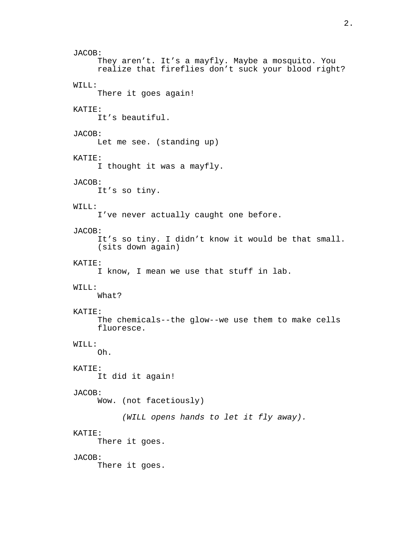JACOB: They aren't. It's a mayfly. Maybe a mosquito. You realize that fireflies don't suck your blood right? WILL: There it goes again! KATIE: It's beautiful. JACOB: Let me see. (standing up) KATIE: I thought it was a mayfly. JACOB: It's so tiny. WILL: I've never actually caught one before. JACOB: It's so tiny. I didn't know it would be that small. (sits down again) KATIE: I know, I mean we use that stuff in lab. WILL: What? KATIE: The chemicals--the glow--we use them to make cells fluoresce. WILL: Oh. KATIE: It did it again! JACOB: Wow. (not facetiously) (WILL opens hands to let it fly away). KATIE: There it goes. JACOB: There it goes.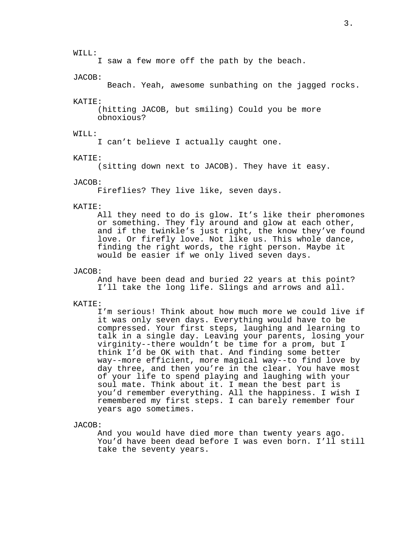#### WILL:

I saw a few more off the path by the beach.

#### JACOB:

Beach. Yeah, awesome sunbathing on the jagged rocks.

#### KATIE:

(hitting JACOB, but smiling) Could you be more obnoxious?

## WILL:

I can't believe I actually caught one.

#### KATIE:

(sitting down next to JACOB). They have it easy.

## JACOB:

Fireflies? They live like, seven days.

#### KATIE:

All they need to do is glow. It's like their pheromones or something. They fly around and glow at each other, and if the twinkle's just right, the know they've found love. Or firefly love. Not like us. This whole dance, finding the right words, the right person. Maybe it would be easier if we only lived seven days.

#### JACOB:

And have been dead and buried 22 years at this point? I'll take the long life. Slings and arrows and all.

#### KATIE:

I'm serious! Think about how much more we could live if it was only seven days. Everything would have to be compressed. Your first steps, laughing and learning to talk in a single day. Leaving your parents, losing your virginity--there wouldn't be time for a prom, but I think I'd be OK with that. And finding some better way--more efficient, more magical way--to find love by day three, and then you're in the clear. You have most of your life to spend playing and laughing with your soul mate. Think about it. I mean the best part is you'd remember everything. All the happiness. I wish I remembered my first steps. I can barely remember four years ago sometimes.

#### JACOB:

And you would have died more than twenty years ago. You'd have been dead before I was even born. I'll still take the seventy years.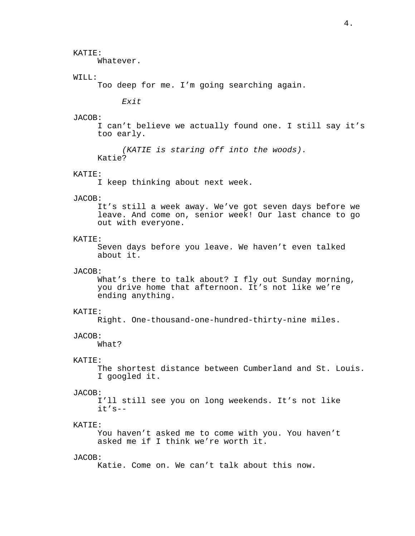## KATIE:

Whatever.

## WILL:

Too deep for me. I'm going searching again.

Exit

#### JACOB:

I can't believe we actually found one. I still say it's too early.

```
(KATIE is staring off into the woods).
Katie?
```
## KATIE:

I keep thinking about next week.

#### JACOB:

It's still a week away. We've got seven days before we leave. And come on, senior week! Our last chance to go out with everyone.

## KATIE:

Seven days before you leave. We haven't even talked about it.

### JACOB:

What's there to talk about? I fly out Sunday morning, you drive home that afternoon. It's not like we're ending anything.

#### KATIE:

Right. One-thousand-one-hundred-thirty-nine miles.

#### JACOB:

What?

### KATIE:

The shortest distance between Cumberland and St. Louis. I googled it.

#### JACOB:

I'll still see you on long weekends. It's not like it's--

### KATIE:

You haven't asked me to come with you. You haven't asked me if I think we're worth it.

#### JACOB:

Katie. Come on. We can't talk about this now.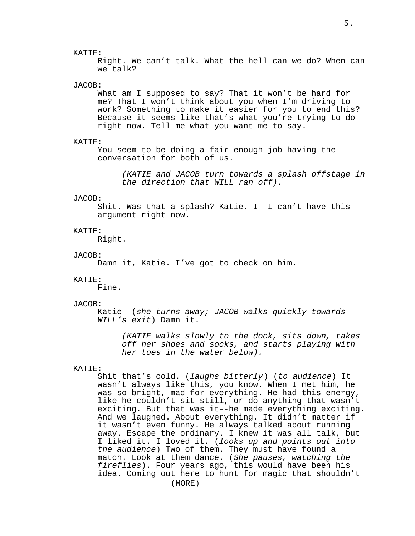## KATIE:

Right. We can't talk. What the hell can we do? When can we talk?

#### JACOB:

What am I supposed to say? That it won't be hard for me? That I won't think about you when I'm driving to work? Something to make it easier for you to end this? Because it seems like that's what you're trying to do right now. Tell me what you want me to say.

#### KATIE:

You seem to be doing a fair enough job having the conversation for both of us.

(KATIE and JACOB turn towards a splash offstage in the direction that WILL ran off).

#### JACOB:

Shit. Was that a splash? Katie. I--I can't have this argument right now.

## KATIE:

Right.

#### JACOB:

Damn it, Katie. I've got to check on him.

#### KATIE:

Fine.

#### JACOB:

Katie--(she turns away; JACOB walks quickly towards WILL's exit) Damn it.

> (KATIE walks slowly to the dock, sits down, takes off her shoes and socks, and starts playing with her toes in the water below).

## KATIE:

Shit that's cold. (laughs bitterly) (to audience) It wasn't always like this, you know. When I met him, he was so bright, mad for everything. He had this energy, like he couldn't sit still, or do anything that wasn't exciting. But that was it--he made everything exciting. And we laughed. About everything. It didn't matter if it wasn't even funny. He always talked about running away. Escape the ordinary. I knew it was all talk, but I liked it. I loved it. (looks up and points out into the audience) Two of them. They must have found a match. Look at them dance. (She pauses, watching the fireflies). Four years ago, this would have been his idea. Coming out here to hunt for magic that shouldn't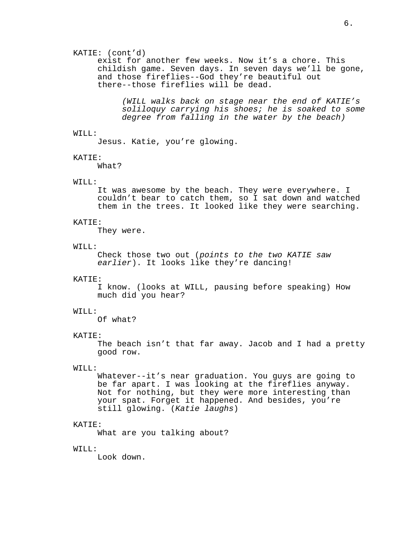## KATIE: (cont'd)

exist for another few weeks. Now it's a chore. This childish game. Seven days. In seven days we'll be gone, and those fireflies--God they're beautiful out there--those fireflies will be dead.

(WILL walks back on stage near the end of KATIE's soliloquy carrying his shoes; he is soaked to some degree from falling in the water by the beach)

### WILL:

Jesus. Katie, you're glowing.

### KATIE:

What?

## WILL:

It was awesome by the beach. They were everywhere. I couldn't bear to catch them, so I sat down and watched them in the trees. It looked like they were searching.

#### KATIE:

They were.

#### WILL:

Check those two out (points to the two KATIE saw earlier). It looks like they're dancing!

#### KATIE:

I know. (looks at WILL, pausing before speaking) How much did you hear?

#### WILL:

Of what?

## KATIE:

The beach isn't that far away. Jacob and I had a pretty good row.

## WILL:

Whatever--it's near graduation. You guys are going to be far apart. I was looking at the fireflies anyway. Not for nothing, but they were more interesting than your spat. Forget it happened. And besides, you're still glowing. (Katie laughs)

#### KATIE:

What are you talking about?

### WILL:

Look down.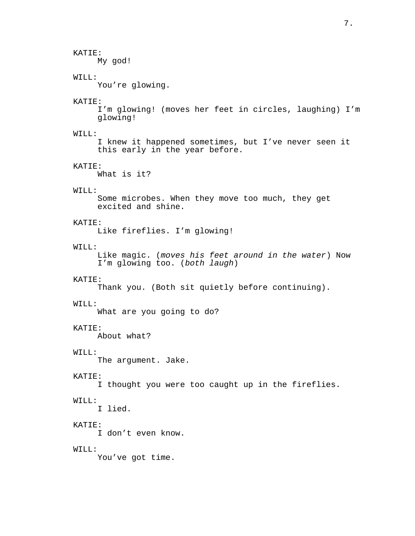## KATIE:

My god!

## WILL:

You're glowing.

## KATIE:

I'm glowing! (moves her feet in circles, laughing) I'm glowing!

### WILL:

I knew it happened sometimes, but I've never seen it this early in the year before.

## KATIE:

What is it?

## WILL:

Some microbes. When they move too much, they get excited and shine.

#### KATIE:

Like fireflies. I'm glowing!

## $WTTJ.$ :

Like magic. (moves his feet around in the water) Now I'm glowing too. (both laugh)

#### KATIE:

Thank you. (Both sit quietly before continuing).

#### WILL:

What are you going to do?

## KATIE:

About what?

## WILL:

The argument. Jake.

## KATIE:

I thought you were too caught up in the fireflies.

## WILL:

I lied.

## KATIE:

I don't even know.

# WILL:

You've got time.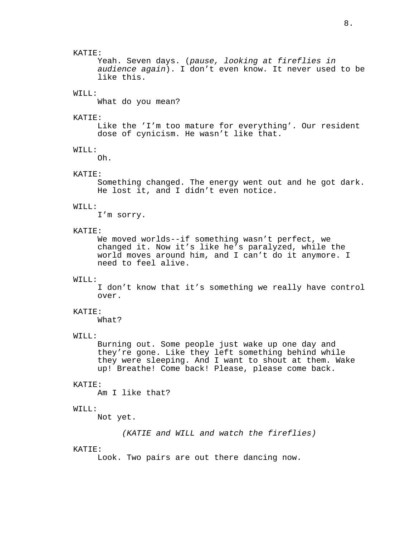Yeah. Seven days. (pause, looking at fireflies in audience again). I don't even know. It never used to be like this.

## WILL:

What do you mean?

#### KATIE:

Like the 'I'm too mature for everything'. Our resident dose of cynicism. He wasn't like that.

## WILL:

Oh.

## KATIE:

Something changed. The energy went out and he got dark. He lost it, and I didn't even notice.

#### WILL:

I'm sorry.

## KATIE:

We moved worlds--if something wasn't perfect, we changed it. Now it's like he's paralyzed, while the world moves around him, and I can't do it anymore. I need to feel alive.

#### WILL:

I don't know that it's something we really have control over.

#### KATIE:

What?

### WILL:

Burning out. Some people just wake up one day and they're gone. Like they left something behind while they were sleeping. And I want to shout at them. Wake up! Breathe! Come back! Please, please come back.

#### KATIE:

Am I like that?

### WILL:

Not yet.

(KATIE and WILL and watch the fireflies)

#### KATIE:

Look. Two pairs are out there dancing now.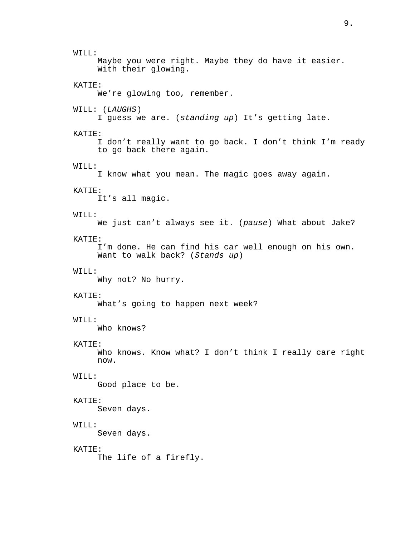9.

WILL: Maybe you were right. Maybe they do have it easier. With their glowing. KATIE: We're glowing too, remember. WILL: (LAUGHS) I guess we are. (standing up) It's getting late. KATIE: I don't really want to go back. I don't think I'm ready to go back there again. WILL: I know what you mean. The magic goes away again. KATIE: It's all magic.  $WTTJ$ .: We just can't always see it. (pause) What about Jake? KATIE: I'm done. He can find his car well enough on his own. Want to walk back? (Stands up) WILL: Why not? No hurry. KATIE: What's going to happen next week? WILL: Who knows? KATIE: Who knows. Know what? I don't think I really care right now. WILL: Good place to be. KATIE: Seven days. WILL: Seven days. KATIE: The life of a firefly.